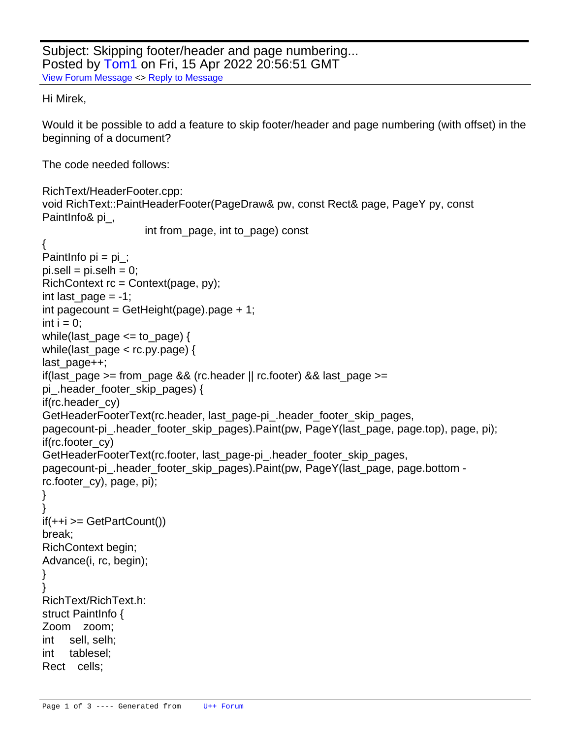```
Subject: Skipping footer/header and page numbering...
Posted by Tom1 on Fri, 15 Apr 2022 20:56:51 GMT
View Forum Message <> Reply to Message
Hi Mirek,
Would it be possible to add a feature to skip footer/header and page numbering (with offset) in the
beginning of a document?
The code needed follows:
RichText/HeaderFooter.cpp:
void RichText::PaintHeaderFooter(PageDraw& pw, const Rect& page, PageY py, const
PaintInfo& pi_,
                      int from_page, int to_page) const
{
Paintlnfo pi = pi:
pi.setII = pi.setIh = 0;RichContext rc = Context(page, py);
int last page = -1;
int pagecount = GetHeight(page).page +1;
int i = 0;
	while(last_page <= to_page) {
 		while(last_page < rc.py.page) {
 			last_page++;
 if(last page >= from page && (rc.header || rc.footer) && last page >=pi_.header_footer_skip_pages) {
  				if(rc.header_cy)
   					GetHeaderFooterText(rc.header, last_page-pi_.header_footer_skip_pages,
pagecount-pi_.header_footer_skip_pages).Paint(pw, PageY(last_page, page.top), page, pi);
  				if(rc.footer_cy)
   					GetHeaderFooterText(rc.footer, last_page-pi_.header_footer_skip_pages,
pagecount-pi_.header_footer_skip_pages).Paint(pw, PageY(last_page, page.bottom -
rc.footer_cy), page, pi);
 			}
 		}
 		if(++i >= GetPartCount())
 			break;
 		RichContext begin;
 		Advance(i, rc, begin);
	}
}
RichText/RichText.h:
struct PaintInfo {
	Zoom zoom;
	int sell, selh;
	int tablesel;
	Rect cells;
```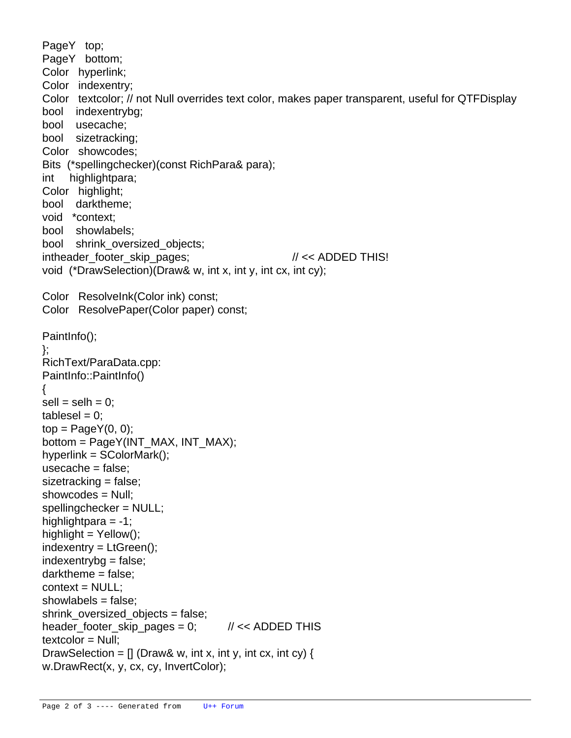```
	PageY top;
	PageY bottom;
	Color hyperlink;
	Color indexentry;
	Color textcolor; // not Null overrides text color, makes paper transparent, useful for QTFDisplay
	bool indexentrybg;
	bool usecache;
	bool sizetracking;
	Color showcodes;
	Bits (*spellingchecker)(const RichPara& para);
	int highlightpara;
	Color highlight;
	bool darktheme;
	void *context;
	bool showlabels;
bool shrink oversized objects;
int header footer skip pages; \frac{1}{5} // << ADDED THIS!
void (*DrawSelection)(Draw& w, int x, int y, int cx, int cy);
	Color ResolveInk(Color ink) const;
	Color ResolvePaper(Color paper) const;
	PaintInfo();
};
RichText/ParaData.cpp:
PaintInfo::PaintInfo()
{
\text{sell} = \text{sell} = 0;
tablesel = 0:
top = PageY(0, 0);
	bottom = PageY(INT_MAX, INT_MAX);
hyperlink = SColorMark();
usecache = false;
sizetracking = false;	showcodes = Null;
	spellingchecker = NULL;
highlightpara = -1;
highlight = Yellow();
indexentry = LtGreen();indexentrybg = false;
	darktheme = false;
context = NULL;
	showlabels = false;
	shrink_oversized_objects = false;
header footer skip pages = 0; \frac{1}{x} // << ADDED THIS
textcolor = Null;
DrawSelection = \iint (Draw& w, int x, int y, int cx, int cy) {
 		w.DrawRect(x, y, cx, cy, InvertColor);
```